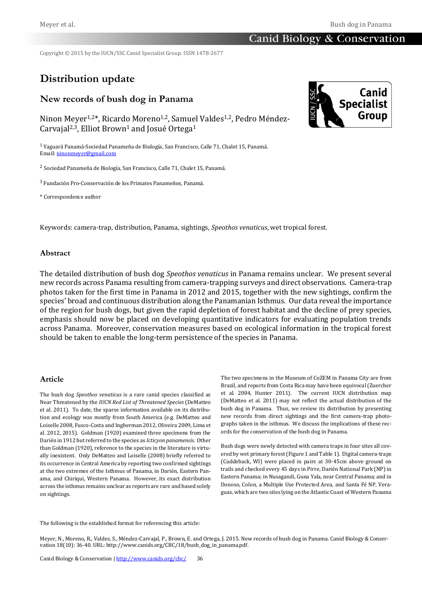Copyright © 2015 by the IUCN/SSC Canid Specialist Group. ISSN 1478-2677

# **Distribution update**

# **New records of bush dog in Panama**

Ninon Meyer<sup>1,2\*</sup>, Ricardo Moreno<sup>1,2</sup>, Samuel Valdes<sup>1,2</sup>, Pedro Méndez-Carvajal<sup>2,3</sup>, Elliot Brown<sup>1</sup> and Josué Ortega<sup>1</sup>

<sup>1</sup>Yaguará Panamá-Sociedad Panameña de Biología, San Francisco, Calle 71, Chalet 15, Panamá. Email[: ninonmeyer@gmail.com](mailto:ninonmeyer@gmail.com)

<sup>2</sup> Sociedad Panameña de Biología, San Francisco, Calle 71, Chalet 15, Panamá.

<sup>3</sup> Fundación Pro-Conservación de los Primates Panameños, Panamá.

\* Correspondence author

Keywords: camera-trap, distribution, Panama, sightings, *Speothos venaticus*, wet tropical forest*.*

## **Abstract**

The detailed distribution of bush dog *Speothos venaticus* in Panama remains unclear. We present several new records across Panama resulting from camera-trapping surveys and direct observations. Camera-trap photos taken for the first time in Panama in 2012 and 2015, together with the new sightings, confirm the species' broad and continuous distribution along the Panamanian Isthmus. Our data reveal the importance of the region for bush dogs, but given the rapid depletion of forest habitat and the decline of prey species, emphasis should now be placed on developing quantitative indicators for evaluating population trends across Panama. Moreover, conservation measures based on ecological information in the tropical forest should be taken to enable the long-term persistence of the species in Panama.

#### **Article**

The bush dog *Speothos venaticus* is a rare canid species classified as Near Threatened by the *IUCN Red List of Threatened Species* (DeMatteo et al. 2011). To date, the sparse information available on its distribution and ecology was mostly from South America (e.g. DeMatteo and Loiselle 2008, Fusco-Costa and Ingberman 2012, Oliveira 2009, Lima et al. 2012, 2015). Goldman (1920) examined three specimens from the Darién in 1912 but referred to the species as *Icticyon panamensis*. Other than Goldman (1920), reference to the species in the literature is virtually inexistent. Only DeMatteo and Loiselle (2008) briefly referred to its occurrence in Central America by reporting two confirmed sightings at the two extremes of the Isthmus of Panama, in Darién, Eastern Panama, and Chiriqui, Western Panama. However, its exact distribution across the isthmus remains unclear as reports are rare and based solely on sightings.

The two specimens in the Museum of CoZEM in Panama City are from Brazil, and reports from Costa Rica may have been equivocal (Zuercher et al. 2004, Hunter 2011). The current IUCN distribution map (DeMatteo et al. 2011) may not reflect the actual distribution of the bush dog in Panama. Thus, we review its distribution by presenting new records from direct sightings and the first camera-trap photographs taken in the isthmus. We discuss the implications of these records for the conservation of the bush dog in Panama.

Bush dogs were newly detected with camera traps in four sites all covered by wet primary forest (Figure 1 and Table 1). Digital camera-traps (Cuddeback, WI) were placed in pairs at 30-45cm above ground on trails and checked every 45 days in Pirre, Darién National Park (NP) in Eastern Panama; in Nusagandi, Guna Yala, near Central Panama; and in Donoso, Colon, a Multiple Use Protected Area, and Santa Fé NP, Veraguas, which are two sites lying on the Atlantic Coast of Western Panama

The following is the established format for referencing this article:

Meyer, N., Moreno, R., Valdes, S., Méndez-Carvajal, P., Brown, E. and Ortega, J. 2015. New records of bush dog in Panama. Canid Biology & Conservation 18(10): 36-40. URL: http://www.canids.org/CBC/18/bush\_dog\_in\_panama.pdf.

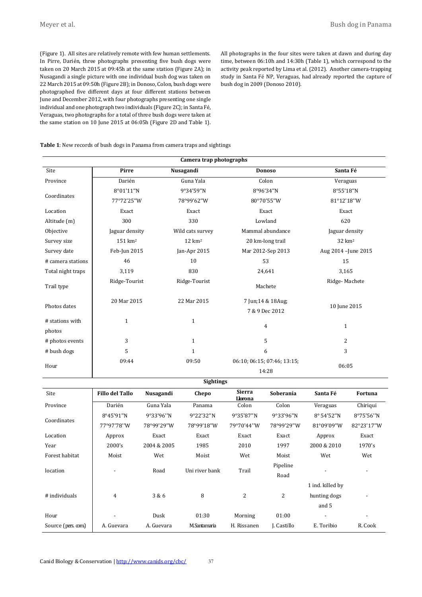(Figure 1). All sites are relatively remote with few human settlements. In Pirre, Darién, three photographs presenting five bush dogs were taken on 20 March 2015 at 09:45h at the same station (Figure 2A); in Nusagandi a single picture with one individual bush dog was taken on 22 March 2015 at 09:50h (Figure 2B); in Donoso, Colon, bush dogs were photographed five different days at four different stations between June and December 2012, with four photographs presenting one single individual and one photograph two individuals (Figure 2C); in Santa Fé, Veraguas, two photographs for a total of three bush dogs were taken at the same station on 10 June 2015 at 06:05h (Figure 2D and Table 1).

All photographs in the four sites were taken at dawn and during day time, between 06:10h and 14:30h (Table 1), which correspond to the activity peak reported by Lima et al. (2012). Another camera-trapping study in Santa Fé NP, Veraguas, had already reported the capture of bush dog in 2009 (Donoso 2010).

#### **Table 1**: New records of bush dogs in Panama from camera traps and sightings

| Camera trap photographs   |                     |                   |                                      |                      |  |  |  |  |  |
|---------------------------|---------------------|-------------------|--------------------------------------|----------------------|--|--|--|--|--|
| Site                      | Pirre               | Nusagandi         | <b>Donoso</b>                        | Santa Fé             |  |  |  |  |  |
| Province                  | Darién              | Guna Yala         | Colon                                | Veraguas             |  |  |  |  |  |
|                           | 8°01'11"N           | 9°34'59"N         | 8°96'34"N                            | 8°55'18"N            |  |  |  |  |  |
| Coordinates               | 77°72'25"W          | 78°99'62"W        | 80°70'55"W                           | 81°12'18"W           |  |  |  |  |  |
| Location                  | Exact               | Exact             | Exact                                | Exact                |  |  |  |  |  |
| Altitude (m)              | 300                 | 330               | Lowland                              | 620                  |  |  |  |  |  |
| Objective                 | Jaguar density      | Wild cats survey  | Mammal abundance                     | Jaguar density       |  |  |  |  |  |
| Survey size               | 151 km <sup>2</sup> | $12 \text{ km}^2$ | 20 km-long trail                     | $32 \text{ km}^2$    |  |  |  |  |  |
| Survey date               | Feb-Jun 2015        | Jan-Apr 2015      | Mar 2012-Sep 2013                    | Aug 2014 - June 2015 |  |  |  |  |  |
| # camera stations         | 46                  | 10                | 53                                   | 15                   |  |  |  |  |  |
| Total night traps         | 3,119               | 830               | 24,641                               | 3,165                |  |  |  |  |  |
| Trail type                | Ridge-Tourist       | Ridge-Tourist     | Machete                              | Ridge-Machete        |  |  |  |  |  |
| Photos dates              | 20 Mar 2015         | 22 Mar 2015       | 7 Jun; 14 & 18Aug;<br>7 & 9 Dec 2012 | 10 June 2015         |  |  |  |  |  |
| # stations with<br>photos | $\mathbf{1}$        | $\mathbf{1}$      | 4                                    | $\mathbf{1}$         |  |  |  |  |  |
| # photos events           | 3                   | $\mathbf{1}$      | 5                                    | $\overline{2}$       |  |  |  |  |  |
| # bush dogs               | 5                   | 1                 | 6                                    | 3                    |  |  |  |  |  |
|                           | 09:44               | 09:50             | 06:10; 06:15; 07:46; 13:15;          | 06:05                |  |  |  |  |  |
| Hour                      |                     |                   | 14:28                                |                      |  |  |  |  |  |

**Sightings**

| <b>Site</b>       | <b>Fillo del Tallo</b> | Nusagandi   | Chepo          | <b>Sierra</b><br>Llorona | Soberanía   | Santa Fé                 | Fortuna                  |
|-------------------|------------------------|-------------|----------------|--------------------------|-------------|--------------------------|--------------------------|
| Province          | Darién                 | Guna Yala   | Panama         | Colon                    | Colon       | Veraguas                 | Chiriqui                 |
| Coordinates       | 8°45'91"N              | 9°33'96"N   | 9°22'32"N      | 9°35'87"N                | 9°33'96"N   | $8^{\circ}$ 54'52"N      | 8°75'56"N                |
|                   | 77°97'78"W             | 78°99'29"W  | 78°99'18"W     | 79°70'44"W               | 78°99'29"W  | 81°09'09"W               | 82°23'17"W               |
| Location          | Approx                 | Exact       | Exact          | Exact                    | Exact       | Approx                   | Exact                    |
| Year              | 2000's                 | 2004 & 2005 | 1985           | 2010                     | 1997        | 2000 & 2010              | 1970's                   |
| Forest habitat    | Moist                  | Wet         | Moist          | Wet                      | Moist       | Wet                      | Wet                      |
| location          |                        | Road        | Uni river bank | Trail                    | Pipeline    |                          | $\overline{\phantom{a}}$ |
|                   |                        |             |                |                          | Road        |                          |                          |
|                   |                        |             |                |                          |             | 1 ind. killed by         |                          |
| # individuals     | 4                      | 3 & 6       | 8              | $\overline{2}$           | 2           | hunting dogs             |                          |
|                   |                        |             |                |                          |             | and 5                    |                          |
| Hour              |                        | Dusk        | 01:30          | Morning                  | 01:00       | $\overline{\phantom{a}}$ | $\overline{\phantom{a}}$ |
| Source (pers com) | A. Guevara             | A. Guevara  | M.Santamaria   | H. Rissanen              | J. Castillo | E. Toribio               | R. Cook                  |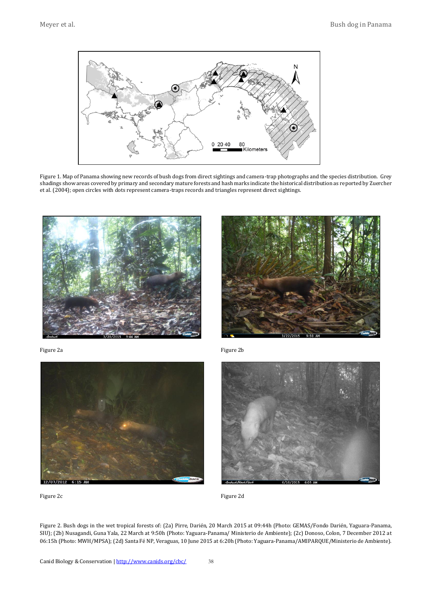

Figure 1. Map of Panama showing new records of bush dogs from direct sightings and camera-trap photographs and the species distribution. Grey shadings show areas covered by primary and secondary mature forests and hash marks indicate the historical distribution as reported by Zuercher et al. (2004); open circles with dots represent camera-traps records and triangles represent direct sightings.





Figure 2a



Figure 2c

Figure 2b



Figure 2d

Figure 2. Bush dogs in the wet tropical forests of: (2a) Pirre, Darién, 20 March 2015 at 09:44h (Photo: GEMAS/Fondo Darién, Yaguara-Panama, SIU); (2b) Nusagandi, Guna Yala, 22 March at 9:50h (Photo: Yaguara-Panama/ Ministerio de Ambiente); (2c) Donoso, Colon, 7 December 2012 at 06:15h (Photo: MWH/MPSA); (2d) Santa Fé NP, Veraguas, 10 June 2015 at 6:20h (Photo: Yaguara-Panama/AMIPARQUE/Ministerio de Ambiente).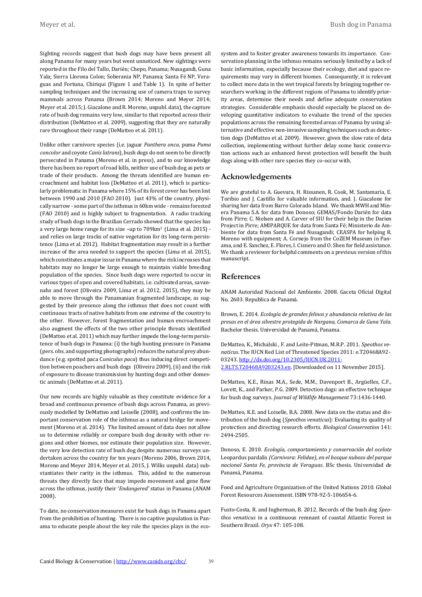Sighting records suggest that bush dogs may have been present all along Panama for many years but went unnoticed. New sightings were reported in the Filo del Tallo, Darién; Chepo, Panama; Nusagandi, Guna Yala; Sierra Llorona Colon; Soberania NP, Panama; Santa Fé NP, Veraguas and Fortuna, Chiriqui (Figure 1 and Table 1). In spite of better sampling techniques and the increasing use of camera traps to survey mammals across Panama (Brown 2014; Moreno and Meyer 2014; Meyer et al. 2015; J. Giacalone and R. Moreno, unpubl. data), the capture rate of bush dog remains very low, similar to that reported across their distribution (DeMatteo et al. 2009), suggesting that they are naturally rare throughout their range (DeMatteo et al. 2011).

Unlike other carnivore species (i.e. jaguar *Panthera onca*, puma *Puma concolor* and coyote *Canis latrans*), bush dogs do not seem to be directly persecuted in Panama (Moreno et al. in press), and to our knowledge there has been no report of road kills, neither use of bush dog as pets or trade of their products. Among the threats identified are human encroachment and habitat loss (DeMatteo et al. 2011), which is particularly problematic in Panama where 15% of its forest cover has been lost between 1990 and 2010 (FAO 2010). Just 43% of the country, physically narrow - some part of the isthmus is 60km wide - remains forested (FAO 2010) and is highly subject to fragmentation. A radio tracking study of bush dogs in the Brazilian Cerrado showed that the species has a very large home range for its size –up to 709km2 (Lima et al. 2015) and relies on large tracks of native vegetation for its long-term persistence (Lima et al. 2012). Habitat fragmentation may result in a further increase of the area needed to support the species (Lima et al. 2015), which constitutes a major issue in Panama where the risk increases that habitats may no longer be large enough to maintain viable breeding population of the species. Since bush dogs were reported to occur in various types of open and covered habitats, i.e. cultivated areas, savannahs and forest (Oliveira 2009, Lima et al. 2012, 2015), they may be able to move through the Panamanian fragmented landscape, as suggested by their presence along the isthmus that does not count with continuous tracts of native habitats from one extreme of the country to the other. However, forest fragmentation and human encroachment also augment the effects of the two other principle threats identified (DeMatteo et al. 2011) which may further impede the long-term persistence of bush dogs in Panama: (i) the high hunting pressure in Panama (pers. obs. and supporting photographs) reduces the natural prey abundance (e.g. spotted paca C*uniculus paca*) thus inducing direct competition between poachers and bush dogs (Oliveira 2009), (ii) and the risk of exposure to disease transmission by hunting dogs and other domestic animals (DeMatteo et al. 2011).

Our new records are highly valuable as they constitute evidence for a broad and continuous presence of bush dogs across Panama, as previously modelled by DeMatteo and Loiselle (2008), and confirms the important conservation role of the isthmus as a natural bridge for movement (Moreno et al. 2014). The limited amount of data does not allow us to determine reliably or compare bush dog density with other regions and other biomes, nor estimate their population size. However, the very low detection rate of bush dog despite numerous surveys undertaken across the country for ten years (Moreno 2006, Brown 2014, Moreno and Meyer 2014, Meyer et al. 2015, J. Willis unpubl. data) substantiates their rarity in the isthmus. This, added to the numerous threats they directly face that may impede movement and gene flow across the isthmus, justify their '*Endangered'* status in Panama (ANAM 2008).

To date, no conservation measures exist for bush dogs in Panama apart from the prohibition of hunting. There is no captive population in Panama to educate people about the key role the species plays in the ecosystem and to foster greater awareness towards its importance. Conservation planning in the isthmus remains seriously limited by a lack of basic information, especially because their ecology, diet and space requirements may vary in different biomes. Consequently, it is relevant to collect more data in the wet tropical forests by bringing together researchers working in the different regions of Panama to identify priority areas, determine their needs and define adequate conservation strategies. Considerable emphasis should especially be placed on developing quantitative indicators to evaluate the trend of the species populations across the remaining forested areas of Panama by using alternative and effective non-invasive sampling techniques such as detection dogs (DeMatteo et al. 2009). However, given the slow rate of data collection, implementing without further delay some basic conservation actions such as enhanced forest protection will benefit the bush dogs along with other rare species they co-occur with.

## **Acknowledgements**

We are grateful to A. Guevara, H. Rissanen, R. Cook, M. Santamaria, E. Toribio and J. Castillo for valuable information, and. J. Giacalone for sharing her data from Barro Colorado Island. We thank MWH and Minera Panama S.A. for data from Donoso; GEMAS/Fondo Darién for data from Pirre; C. Nielsen and A. Carver of SIU for their help in the Darien Project in Pirre; AMIPARQUE for data from Santa Fé; Ministerio de Ambiente for data from Santa Fé and Nusagandi; CEASPA for helping R. Moreno with equipment; A. Cornejo from the CoZEM Museum in Panama, and E. Sanchez, E. Flores, I. Cisnero and O. Shen for field assistance. We thank a reviewer for helpful comments on a previous version of this manuscript.

## **References**

ANAM Autoridad Nacional del Ambiente. 2008. Gaceta Oficial Digital No. 2603. Republica de Panamá.

Brown, E. 2014. *Ecología de grandes felinos y abundancia relativa de las presas en el área silvestre protegida de Nargana, Comarca de Guna Yala*. Bachelor thesis. Universidad de Panamá, Panama.

DeMatteo, K., Michalski , F. and Leite-Pitman, M.R.P. 2011. *Speothos venaticus*. The IUCN Red List of Threatened Species 2011: e.T20468A92- 03243. [http://dx.doi.org/10.2305/IUCN.UK.2011-](http://www.iucnredlist.org/details/20468/0) [2.RLTS.T20468A9203243.en.](http://www.iucnredlist.org/details/20468/0) [Downloaded on 11 November 2015].

DeMatteo, K.E., Rinas M.A., Sede, M.M., Davenport B., Argüelles, C.F., Lovett, K., and Parker, P.G. 2009. Detection dogs: an effective technique for bush dog surveys. *Journal of Wildlife Management* 73:1436-1440.

DeMatteo, K.E. and Loiselle, B.A. 2008. New data on the status and distribution of the bush dog (*Speothos venaticus*): Evaluating its quality of protection and directing research efforts. *Biological Conservation* 141: 2494-2505.

Donoso, E. 2010. *Ecología, comportamiento y conservación del ocelote*  Leopardus pardalis *(Carnivora: Felidae), en el bosque nuboso del parque nacional Santa Fe, provincia de Veraguas*. BSc thesis. Universidad de Panamá, Panama.

Food and Agriculture Organization of the United Nations 2010. Global Forest Resources Assessment. ISBN 978-92-5-106654-6.

Fusto-Costa, R. and Ingberman, B. 2012. Records of the bush dog *Speothos venaticus* in a continuous remnant of coastal Atlantic Forest in Southern Brazil. *Oryx* 47: 105-108.